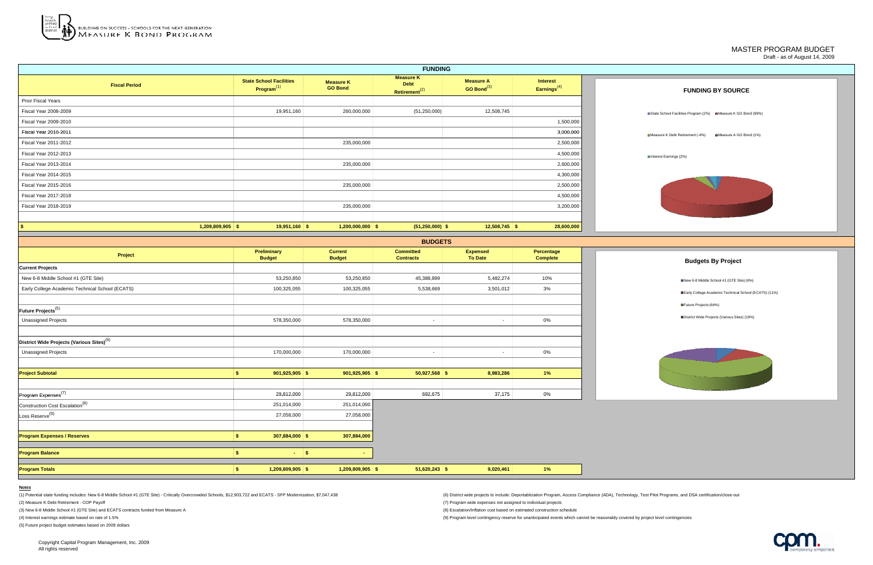## MASTER PROGRAM BUDGET Draft - as of August 14, 2009



| <b>FUNDING</b>            |                                                          |                                    |                                                              |                                      |                                   |                                                                |  |
|---------------------------|----------------------------------------------------------|------------------------------------|--------------------------------------------------------------|--------------------------------------|-----------------------------------|----------------------------------------------------------------|--|
| <b>Fiscal Period</b>      | <b>State School Facilities</b><br>Program <sup>(1)</sup> | <b>Measure K</b><br><b>GO Bond</b> | <b>Measure K</b><br><b>Debt</b><br>Retirement <sup>(2)</sup> | <b>Measure A</b><br>GO Bond $^{(3)}$ | <b>Interest</b><br>Earnings $(4)$ | <b>FUNDING BY SOURCE</b>                                       |  |
| <b>Prior Fiscal Years</b> |                                                          |                                    |                                                              |                                      |                                   |                                                                |  |
| Fiscal Year 2008-2009     | 19,951,160                                               | 260,000,000                        | (51, 250, 000)                                               | 12,508,745                           |                                   | ■State School Facilities Program (2%) ■Measure K GO Bond (99%) |  |
| Fiscal Year 2009-2010     |                                                          |                                    |                                                              |                                      | 1,500,000                         |                                                                |  |
| Fiscal Year 2010-2011     |                                                          |                                    |                                                              |                                      | 3,000,000                         | Measure A GO Bond (1%<br>■Measure K Debt Retirement (-4%)      |  |
| Fiscal Year 2011-2012     |                                                          | 235,000,000                        |                                                              |                                      | 2,500,000                         |                                                                |  |
| Fiscal Year 2012-2013     |                                                          |                                    |                                                              |                                      | 4,500,000                         | ■Interest Earnings (2%)                                        |  |
| Fiscal Year 2013-2014     |                                                          | 235,000,000                        |                                                              |                                      | 2,600,000                         |                                                                |  |
| Fiscal Year 2014-2015     |                                                          |                                    |                                                              |                                      | 4,300,000                         |                                                                |  |
| Fiscal Year 2015-2016     |                                                          | 235,000,000                        |                                                              |                                      | 2,500,000                         |                                                                |  |
| Fiscal Year 2017-2018     |                                                          |                                    |                                                              |                                      | 4,500,000                         |                                                                |  |
| Fiscal Year 2018-2019     |                                                          | 235,000,000                        |                                                              |                                      | 3,200,000                         |                                                                |  |
|                           |                                                          |                                    |                                                              |                                      |                                   |                                                                |  |
| $1,209,809,905$ \$<br>-\$ | $19,951,160$ \$                                          | 1,200,000,000                      | $(51,250,000)$ \$                                            | $12,508,745$ \$                      | 28,600,000                        |                                                                |  |





|                                                       |                                     |                                 | <b>BUDGETS</b>                       |                                   |                               |
|-------------------------------------------------------|-------------------------------------|---------------------------------|--------------------------------------|-----------------------------------|-------------------------------|
| Project                                               | <b>Preliminary</b><br><b>Budget</b> | <b>Current</b><br><b>Budget</b> | <b>Committed</b><br><b>Contracts</b> | <b>Expensed</b><br><b>To Date</b> | Percentage<br><b>Complete</b> |
| <b>Current Projects</b>                               |                                     |                                 |                                      |                                   |                               |
| New 6-8 Middle School #1 (GTE Site)                   | 53,250,850                          | 53,250,850                      | 45,388,899                           | 5,482,274                         | 10%                           |
| Early College Academic Technical School (ECATS)       | 100,325,055                         | 100,325,055                     | 5,538,669                            | 3,501,012                         | 3%                            |
|                                                       |                                     |                                 |                                      |                                   |                               |
| Future Projects <sup>(5)</sup>                        |                                     |                                 |                                      |                                   |                               |
| <b>Unassigned Projects</b>                            | 578,350,000                         | 578,350,000                     | $\sim$                               | $\blacksquare$                    | 0%                            |
|                                                       |                                     |                                 |                                      |                                   |                               |
| District Wide Projects (Various Sites) <sup>(6)</sup> |                                     |                                 |                                      |                                   |                               |
| <b>Unassigned Projects</b>                            | 170,000,000                         | 170,000,000                     | $\sim$                               | $\overline{\phantom{0}}$          | $0\%$                         |
|                                                       |                                     |                                 |                                      |                                   |                               |
| <b>Project Subtotal</b>                               | $901,925,905$ \$<br>\$              | $901,925,905$ \$                | $50,927,568$ \$                      | 8,983,286                         | 1%                            |
|                                                       |                                     |                                 |                                      |                                   |                               |
| Program Expenses <sup>(7)</sup>                       | 29,812,000                          | 29,812,000                      | 692,675                              | 37,175                            | $0\%$                         |
| Construction Cost Escalation <sup>(8)</sup>           | 251,014,000                         | 251,014,000                     |                                      |                                   |                               |
| $\overline{\mathsf{Loss} }$ Reserve <sup>(9)</sup>    | 27,058,000                          | 27,058,000                      |                                      |                                   |                               |
|                                                       |                                     |                                 |                                      |                                   |                               |
| <b>Program Expenses / Reserves</b>                    | \$<br>$307,884,000$ \$              | 307,884,000                     |                                      |                                   |                               |
|                                                       |                                     |                                 |                                      |                                   |                               |
| <b>Program Balance</b>                                | \$<br>$\sim$                        | \$<br>$\sim$                    |                                      |                                   |                               |
| <b>Program Totals</b>                                 | $1,209,809,905$ \$<br>\$            | $1,209,809,905$ \$              | $51,620,243$ \$                      | 9,020,461                         | 1%                            |

**Notes**

(1) Potential state funding includes: New 6-8 Middle School #1 (GTE Site) - Critically Overcrowded Schools, \$12,903,722 and ECATS - SFP Modernization, \$7,047,438 (6) District wide projects to include: Deportablization Prog

(2) Measure K Debt Retirement - COP Payoff (7) Program wide expenses not assigned to individual projects

(3) New 6-8 Middle School #1 (GTE Site) and ECATS contracts funded from Measure A (8) Escalation/Inflation cost based on estimated construction schedule

(4) Interest earnings estimate based on rate of 1.5% (9) Program level contingency reserve for unanticipated events which cannot be reasonably covered by project level contingencies

(5) Future project budget estimates based on 2009 dollars

Copyright Capital Program Management, Inc. 2009 All rights reserved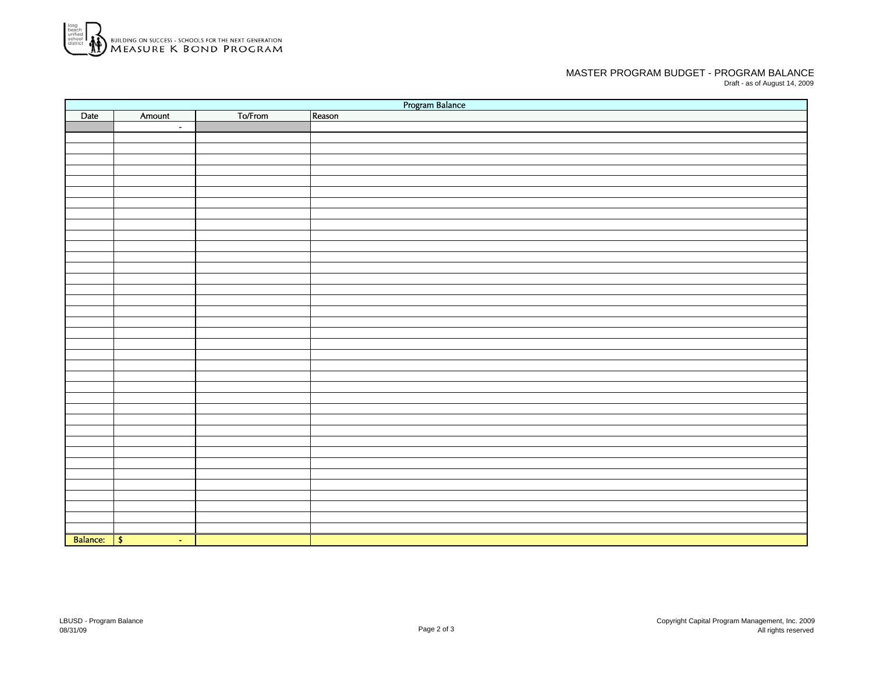

## MASTER PROGRAM BUDGET - PROGRAM BALANCEDraft - as of August 14, 2009

Date I Amount I To/From -Balance: \$ \$ Program Balance Reason